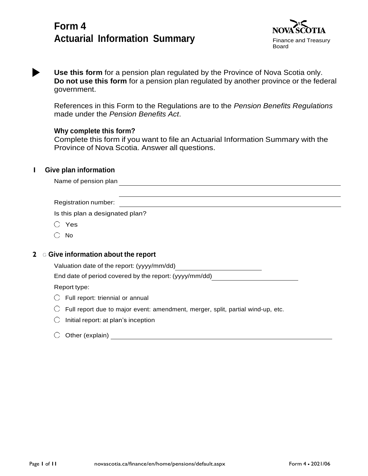# **Form 4 Actuarial Information Summary** Finance and Treasury



**Use this form** for a pension plan regulated by the Province of Nova Scotia only. **Do not use this form** for a pension plan regulated by another province or the federal government.

References in this Form to the Regulations are to the *Pension Benefits Regulations* made under the *Pension Benefits Act*.

# **Why complete this form?**

Complete this form if you want to file an Actuarial Information Summary with the Province of Nova Scotia. Answer all questions.

# **1 Give plan information**

| Name of pension plan              |  |
|-----------------------------------|--|
|                                   |  |
| Registration number:              |  |
| Is this plan a designated plan?   |  |
| Yes                               |  |
| No                                |  |
|                                   |  |
| Give information about the report |  |

# **2** <sup>G</sup> **Give information about the report**

Valuation date of the report: (yyyy/mm/dd)

End date of period covered by the report: (yyyy/mm/dd)

Report type:

- $\bigcirc$  Full report: triennial or annual
- $\bigcirc$  Full report due to major event: amendment, merger, split, partial wind-up, etc.
- $\bigcirc$  Initial report: at plan's inception

# $\bigcirc$  Other (explain)  $\bigcirc$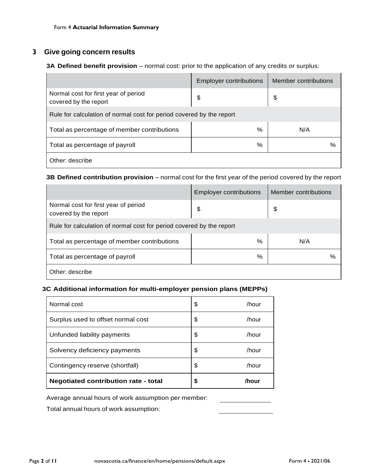# **3 Give going concern results**

# **3A Defined benefit provision** – normal cost: prior to the application of any credits or surplus:

|                                                                      | <b>Employer contributions</b> | Member contributions |
|----------------------------------------------------------------------|-------------------------------|----------------------|
| Normal cost for first year of period<br>covered by the report        | \$                            | \$                   |
| Rule for calculation of normal cost for period covered by the report |                               |                      |
| Total as percentage of member contributions                          | %                             | N/A                  |
| Total as percentage of payroll                                       | $\%$                          | %                    |
| Other: describe                                                      |                               |                      |

# **3B Defined contribution provision** – normal cost for the first year of the period covered by the report

|                                                                      | <b>Employer contributions</b> | Member contributions |
|----------------------------------------------------------------------|-------------------------------|----------------------|
| Normal cost for first year of period<br>covered by the report        | \$                            | \$                   |
| Rule for calculation of normal cost for period covered by the report |                               |                      |
| Total as percentage of member contributions                          | %                             | N/A                  |
| Total as percentage of payroll                                       | %                             | %                    |
| Other: describe                                                      |                               |                      |

# **3C Additional information for multi-employer pension plans (MEPPs)**

| Normal cost                                 | \$<br>/hour |
|---------------------------------------------|-------------|
| Surplus used to offset normal cost          | \$<br>/hour |
| Unfunded liability payments                 | \$<br>/hour |
| Solvency deficiency payments                | \$<br>/hour |
| Contingency reserve (shortfall)             | \$<br>/hour |
| <b>Negotiated contribution rate - total</b> | \$<br>/hour |

### Average annual hours of work assumption per member:

Total annual hours of work assumption: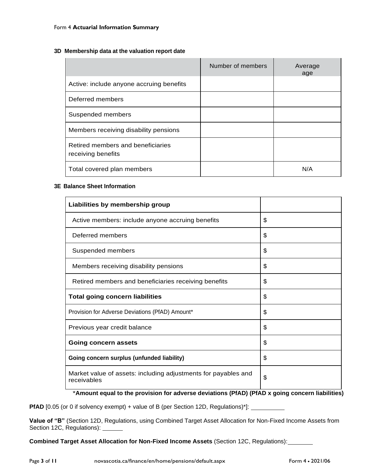### **3D Membership data at the valuation report date**

|                                                         | Number of members | Average<br>age |
|---------------------------------------------------------|-------------------|----------------|
| Active: include anyone accruing benefits                |                   |                |
| Deferred members                                        |                   |                |
| Suspended members                                       |                   |                |
| Members receiving disability pensions                   |                   |                |
| Retired members and beneficiaries<br>receiving benefits |                   |                |
| Total covered plan members                              |                   | N/A            |

### **3E Balance Sheet Information**

| Liabilities by membership group                                               |    |
|-------------------------------------------------------------------------------|----|
| Active members: include anyone accruing benefits                              | \$ |
| Deferred members                                                              | \$ |
| Suspended members                                                             | \$ |
| Members receiving disability pensions                                         | \$ |
| Retired members and beneficiaries receiving benefits                          | \$ |
| <b>Total going concern liabilities</b>                                        | \$ |
| Provision for Adverse Deviations (PfAD) Amount*                               | \$ |
| Previous year credit balance                                                  | \$ |
| <b>Going concern assets</b>                                                   | \$ |
| Going concern surplus (unfunded liability)                                    | \$ |
| Market value of assets: including adjustments for payables and<br>receivables | \$ |

\***Amount equal to the provision for adverse deviations (PfAD) (PfAD x going concern liabilities)** 

**PfAD** [0.05 (or 0 if solvency exempt) + value of B (per Section 12D, Regulations)\*]: \_\_\_\_\_\_\_\_\_\_\_\_\_

**Value of "B"** (Section 12D, Regulations, using Combined Target Asset Allocation for Non-Fixed Income Assets from Section 12C, Regulations):

**Combined Target Asset Allocation for Non-Fixed Income Assets** (Section 12C, Regulations):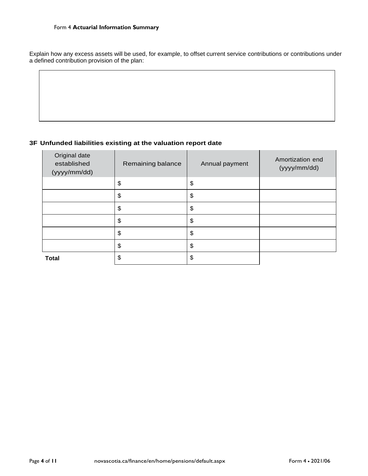Explain how any excess assets will be used, for example, to offset current service contributions or contributions under a defined contribution provision of the plan:

# **3F Unfunded liabilities existing at the valuation report date**

| Original date<br>established<br>(yyyy/mm/dd) | Remaining balance | Annual payment | Amortization end<br>(yyyy/mm/dd) |
|----------------------------------------------|-------------------|----------------|----------------------------------|
|                                              | \$                | \$             |                                  |
|                                              | \$                | \$             |                                  |
|                                              | \$                | \$             |                                  |
|                                              | \$                | \$             |                                  |
|                                              | \$                | \$             |                                  |
|                                              | \$                | \$             |                                  |
| <b>Total</b>                                 | \$                | \$             |                                  |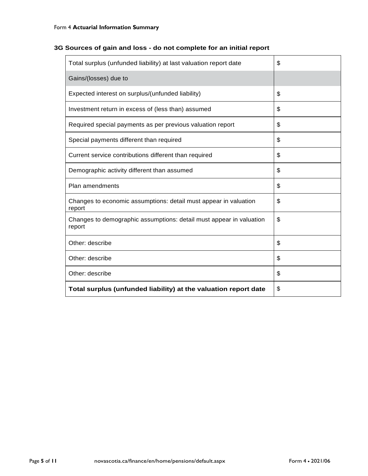| 3G Sources of gain and loss - do not complete for an initial report |  |  |
|---------------------------------------------------------------------|--|--|
|---------------------------------------------------------------------|--|--|

| Total surplus (unfunded liability) at last valuation report date              | \$ |
|-------------------------------------------------------------------------------|----|
| Gains/(losses) due to                                                         |    |
| Expected interest on surplus/(unfunded liability)                             | \$ |
| Investment return in excess of (less than) assumed                            | \$ |
| Required special payments as per previous valuation report                    | \$ |
| Special payments different than required                                      | \$ |
| Current service contributions different than required                         | \$ |
| Demographic activity different than assumed                                   | \$ |
| Plan amendments                                                               | \$ |
| Changes to economic assumptions: detail must appear in valuation<br>report    | \$ |
| Changes to demographic assumptions: detail must appear in valuation<br>report | \$ |
| Other: describe                                                               | \$ |
| Other: describe                                                               | \$ |
| Other: describe                                                               | \$ |
| Total surplus (unfunded liability) at the valuation report date               | \$ |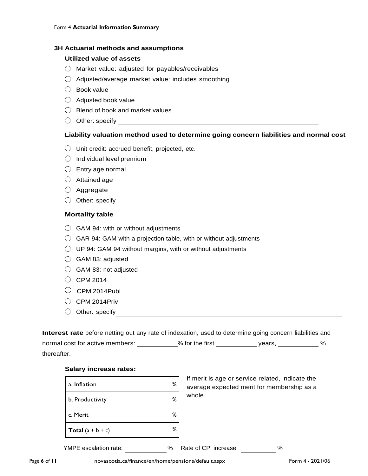### **3H Actuarial methods and assumptions**

#### **Utilized value of assets**

- $\bigcirc$  Market value: adjusted for payables/receivables
- $\bigcirc$  Adjusted/average market value: includes smoothing
- $\bigcirc$  Book value
- $\bigcirc$  Adjusted book value
- $\bigcirc$  Blend of book and market values
- Other: specify

# **Liability valuation method used to determine going concern liabilities and normal cost**

- $\bigcirc$  Unit credit: accrued benefit, projected, etc.
- $\bigcirc$  Individual level premium
- $\bigcirc$  Entry age normal
- $\bigcirc$  Attained age
- Aggregate
- $\bigcirc$  Other: specify

#### **Mortality table**

- $\bigcirc$  GAM 94: with or without adjustments
- $\bigcirc$  GAR 94: GAM with a projection table, with or without adjustments
- $\bigcirc$  UP 94: GAM 94 without margins, with or without adjustments
- $\bigcirc$  GAM 83: adjusted
- $\bigcirc$  GAM 83: not adjusted
- $\circ$  CPM 2014
- $\circ$  CPM 2014Publ
- $O$  CPM 2014Priv
- Other: specify

| <b>Interest rate</b> before netting out any rate of indexation, used to determine going concern liabilities and |                   |        |   |
|-----------------------------------------------------------------------------------------------------------------|-------------------|--------|---|
| normal cost for active members:                                                                                 | $%$ for the first | vears. | % |
| thereafter.                                                                                                     |                   |        |   |

#### **Salary increase rates:**

| a. Inflation        | ℅ |
|---------------------|---|
| b. Productivity     | ℅ |
| c. Merit            | ℅ |
| Total $(a + b + c)$ | ℅ |

If merit is age or service related, indicate the average expected merit for membership as a whole.

YMPE escalation rate:  $\%$  Rate of CPI increase:  $\%$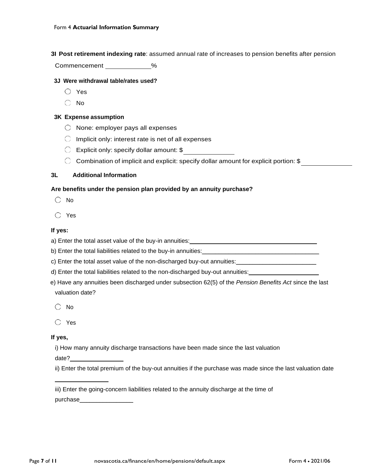**3I Post retirement indexing rate**: assumed annual rate of increases to pension benefits after pension

Commencement %

### **3J Were withdrawal table/rates used?**

- Yes
- No

### **3K Expense assumption**

- $\bigcirc$  None: employer pays all expenses
- $\bigcirc$  Implicit only: interest rate is net of all expenses
- Explicit only: specify dollar amount: \$
- $\bigcirc$  Combination of implicit and explicit: specify dollar amount for explicit portion: \$

### **3L Additional Information**

### **Are benefits under the pension plan provided by an annuity purchase?**

- $\bigcirc$  No
- Yes

### **If yes:**

a) Enter the total asset value of the buy-in annuities: <u>equal</u>

b) Enter the total liabilities related to the buy-in annuities: \_\_\_\_\_\_\_\_\_\_\_\_\_\_\_\_

c) Enter the total asset value of the non-discharged buy-out annuities: \_\_\_\_\_\_\_\_\_\_\_\_\_\_

- d) Enter the total liabilities related to the non-discharged buy-out annuities:
- e) Have any annuities been discharged under subsection 62(5) of the *Pension Benefits Act* since the last valuation date?
	- $\bigcirc$  No

# **If yes,**

i) How many annuity discharge transactions have been made since the last valuation

date?

ii) Enter the total premium of the buy-out annuities if the purchase was made since the last valuation date

iii) Enter the going-concern liabilities related to the annuity discharge at the time of

purchase

\_\_\_\_\_\_\_\_\_\_\_\_\_\_\_\_

 $\bigcap$  Yes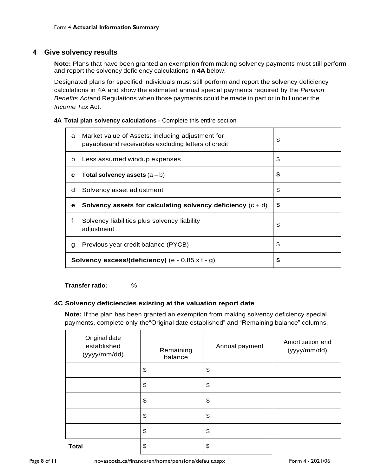# **4 Give solvency results**

**Note:** Plans that have been granted an exemption from making solvency payments must still perform and report the solvency deficiency calculations in **4A** below.

Designated plans for specified individuals must still perform and report the solvency deficiency calculations in 4A and show the estimated annual special payments required by the *Pension Benefits Act*and Regulations when those payments could be made in part or in full under the *Income Tax* Act.

#### **4A Total plan solvency calculations -** Complete this entire section

| a | Market value of Assets: including adjustment for<br>payablesand receivables excluding letters of credit | \$ |
|---|---------------------------------------------------------------------------------------------------------|----|
| b | Less assumed windup expenses                                                                            | \$ |
| c | Total solvency assets $(a - b)$                                                                         | \$ |
| d | Solvency asset adjustment                                                                               | S  |
| е | Solvency assets for calculating solvency deficiency $(c + d)$                                           | S. |
| f | Solvency liabilities plus solvency liability<br>adjustment                                              | \$ |
| g | Previous year credit balance (PYCB)                                                                     | \$ |
|   | <b>Solvency excess/(deficiency)</b> (e - $0.85 \times f - g$ )                                          | S  |

**Transfer ratio:** %

# **4C Solvency deficiencies existing at the valuation report date**

**Note:** If the plan has been granted an exemption from making solvency deficiency special payments, complete only the"Original date established" and "Remaining balance" columns.

| Original date<br>established<br>(yyyy/mm/dd) | Remaining<br>balance | Annual payment | Amortization end<br>(yyyy/mm/dd) |
|----------------------------------------------|----------------------|----------------|----------------------------------|
|                                              | \$                   | \$             |                                  |
|                                              | \$                   | \$             |                                  |
|                                              | \$                   | \$             |                                  |
|                                              | \$                   | \$             |                                  |
|                                              | \$                   | \$             |                                  |
| <b>Total</b>                                 | \$                   | \$             |                                  |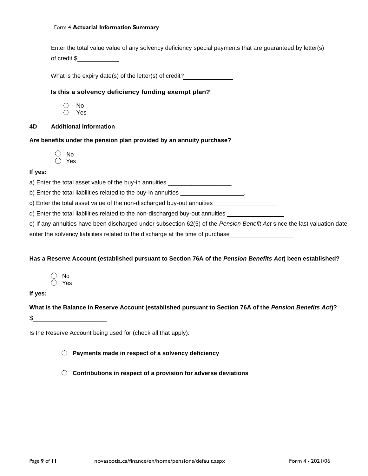#### Form 4 **Actuarial Information Summary**

|              |  | Enter the total value value of any solvency deficiency special payments that are guaranteed by letter(s) |  |
|--------------|--|----------------------------------------------------------------------------------------------------------|--|
| of credit \$ |  |                                                                                                          |  |

What is the expiry date(s) of the letter(s) of credit?

#### **Is this a solvency deficiency funding exempt plan?**

- No  $\bigcirc$ Yes
- 

# **4D Additional Information**

#### **Are benefits under the pension plan provided by an annuity purchase?**

 No ○ Yes

#### **If yes:**

a) Enter the total asset value of the buy-in annuities \_\_\_\_\_\_\_\_\_\_\_\_\_\_\_\_\_\_\_\_\_\_\_\_\_

b) Enter the total liabilities related to the buy-in annuities

c) Enter the total asset value of the non-discharged buy-out annuities \_\_\_\_\_\_\_\_\_

d) Enter the total liabilities related to the non-discharged buy-out annuities \_\_\_\_\_

e) If any annuities have been discharged under subsection 62(5) of the *Pension Benefit Act* since the last valuation date,

enter the solvency liabilities related to the discharge at the time of purchase\_\_\_\_

#### **Has a Reserve Account (established pursuant to Section 76A of the** *Pension Benefits Act***) been established?**

 No Yes

### **If yes:**

**What is the Balance in Reserve Account (established pursuant to Section 76A of the** *Pension Benefits Act***)?**   $\mathfrak s$ 

Is the Reserve Account being used for (check all that apply):

**Payments made in respect of a solvency deficiency**

**Contributions in respect of a provision for adverse deviations**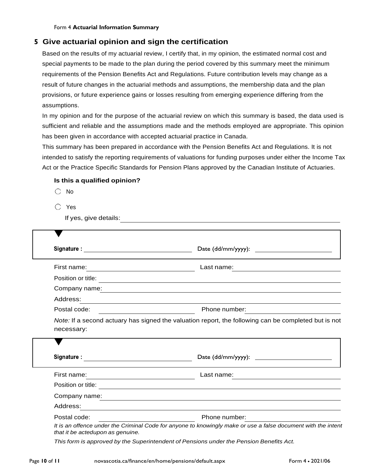# **5 Give actuarial opinion and sign the certification**

Based on the results of my actuarial review, I certify that, in my opinion, the estimated normal cost and special payments to be made to the plan during the period covered by this summary meet the minimum requirements of the Pension Benefits Act and Regulations. Future contribution levels may change as a result of future changes in the actuarial methods and assumptions, the membership data and the plan provisions, or future experience gains or losses resulting from emerging experience differing from the assumptions.

In my opinion and for the purpose of the actuarial review on which this summary is based, the data used is sufficient and reliable and the assumptions made and the methods employed are appropriate. This opinion has been given in accordance with accepted actuarial practice in Canada.

This summary has been prepared in accordance with the Pension Benefits Act and Regulations. It is not intended to satisfy the reporting requirements of valuations for funding purposes under either the Income Tax Act or the Practice Specific Standards for Pension Plans approved by the Canadian Institute of Actuaries.

#### **Is this a qualified opinion?**

- $\bigcirc$  No
- Yes

|  | If yes, give details: |
|--|-----------------------|
|  |                       |

| First name:                                                                 | Last name:<br><u> 1989 - Johann Stein, mars an de France</u>                                                                                                                                                                   |
|-----------------------------------------------------------------------------|--------------------------------------------------------------------------------------------------------------------------------------------------------------------------------------------------------------------------------|
| Position or title:                                                          | <u> 1989 - Johann Stoff, deutscher Stoff, der Stoff, der Stoff, der Stoff, der Stoff, der Stoff, der Stoff, der S</u>                                                                                                          |
|                                                                             | Company name: example and the set of the set of the set of the set of the set of the set of the set of the set of the set of the set of the set of the set of the set of the set of the set of the set of the set of the set o |
| Address:                                                                    | <u> 1989 - Johann Stoff, deutscher Stoffen und der Stoffen und der Stoffen und der Stoffen und der Stoffen und der</u>                                                                                                         |
| Postal code:                                                                | Phone number:                                                                                                                                                                                                                  |
| necessary:                                                                  | Note: If a second actuary has signed the valuation report, the following can be completed but is not                                                                                                                           |
|                                                                             |                                                                                                                                                                                                                                |
| Signature : <u>____________________________</u>                             |                                                                                                                                                                                                                                |
| First name:                                                                 | Last name:                                                                                                                                                                                                                     |
| <u> 1989 - Johann Stoff, fransk politik (d. 1989)</u><br>Position or title: | and the control of the control of the control of the control of the control of the control of the control of the                                                                                                               |
| Company name:                                                               |                                                                                                                                                                                                                                |
| Address:                                                                    |                                                                                                                                                                                                                                |

*This form is approved by the Superintendent of Pensions under the Pension Benefits Act.*